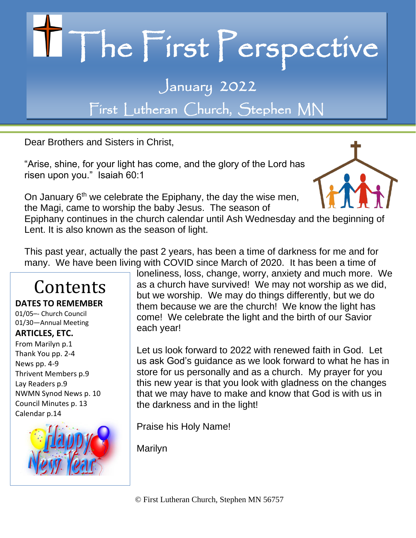# II The First Perspective January 2022

First Lutheran Church, Stephen MN

Dear Brothers and Sisters in Christ,

"Arise, shine, for your light has come, and the glory of the Lord has risen upon you." Isaiah 60:1



On January 6<sup>th</sup> we celebrate the Epiphany, the day the wise men, the Magi, came to worship the baby Jesus. The season of

Epiphany continues in the church calendar until Ash Wednesday and [the beg](https://believersbrain.com/2013/03/20/family-blood-and-spirit/)inning [of](https://creativecommons.org/licenses/by-nc-nd/3.0/)  Lent. It is also known as the season of light.

This past year, actually the past 2 years, has been a time of darkness for me and for many. We have been living with COVID since March of 2020. It has been a time of

### Contents

**DATES TO REMEMBER** 01/05–- Church Council 01/30—Annual Meeting

#### **ARTICLES, ETC.**

From Marilyn p.1 Thank You pp. 2-4 News pp. 4-9 Thrivent Members p.9 Lay Readers p.9 NWMN Synod News p. 10 Council Minutes p. 13 Calendar p.14



loneliness, loss, change, worry, anxiety and much more. We as a church have survived! We may not worship as we did, but we worship. We may do things differently, but we do them because we are the church! We know the light has come! We celebrate the light and the birth of our Savior each year!

Let us look forward to 2022 with renewed faith in God. Let us ask God's guidance as we look forward to what he has in store for us personally and as a church. My prayer for you this new year is that you look with gladness on the changes that we may have to make and know that God is with us in the darkness and in the light!

Praise his Holy Name!

Marilyn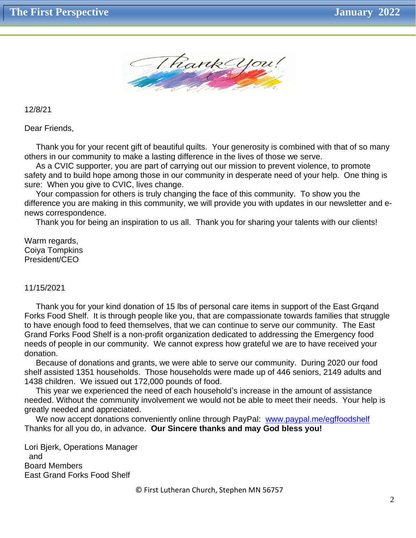

12/8/21

Dear Friends,

 Thank you for your recent gift of beautiful quilts. Your generosity is combined with that of so many others in our community to make a lasting difference in the lives of those we serve.

 As a CVIC supporter, you are part of carrying out our mission to prevent violence, to promote safety and to build hope among those in our community in desperate need of your help. One thing is sure: When you give to CVIC, lives change.

 Your compassion for others is truly changing the face of this community. To show you the difference you are making in this community, we will provide you with updates in our newsletter and enews correspondence.

Thank you for being an inspiration to us all. Thank you for sharing your talents with our clients!

Warm regards, Coiya Tompkins President/CEO

#### 11/15/2021

 Thank you for your kind donation of 15 lbs of personal care items in support of the East Grqand Forks Food Shelf. It is through people like you, that are compassionate towards families that struggle to have enough food to feed themselves, that we can continue to serve our community. The East Grand Forks Food Shelf is a non-profit organization dedicated to addressing the Emergency food needs of people in our community. We cannot express how grateful we are to have received your donation.

 Because of donations and grants, we were able to serve our community. During 2020 our food shelf assisted 1351 households. Those households were made up of 446 seniors, 2149 adults and 1438 children. We issued out 172,000 pounds of food.

 This year we experienced the need of each household's increase in the amount of assistance needed. Without the community involvement we would not be able to meet their needs. Your help is greatly needed and appreciated.

We now accept donations conveniently online through PayPal: [www.paypal.me/egffoodshelf](http://www.paypal.me/egffoodshelf) Thanks for all you do, in advance. **Our Sincere thanks and may God bless you!**

Lori Bjerk, Operations Manager and Board Members East Grand Forks Food Shelf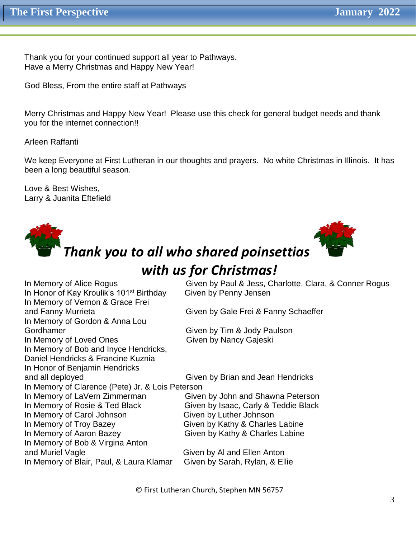Thank you for your continued support all year to Pathways. Have a Merry Christmas and Happy New Year!

God Bless, From the entire staff at Pathways

Merry Christmas and Happy New Year! Please use this check for general budget needs and thank you for the internet connection!!

Arleen Raffanti

We keep Everyone at First Lutheran in our thoughts and prayers. No white Christmas in Illinois. It has been a long beautiful season.

Love & Best Wishes, Larry & Juanita Eftefield



In Honor of Kay Kroulik's 101<sup>st</sup> Birthday Given by Penny Jensen In Memory of Vernon & Grace Frei and Fanny Murrieta **Given by Gale Frei & Fanny Schaeffer** In Memory of Gordon & Anna Lou Gordhamer Gordhamer Given by Tim & Jody Paulson In Memory of Loved Ones Given by Nancy Gajeski In Memory of Bob and Inyce Hendricks, Daniel Hendricks & Francine Kuznia In Honor of Benjamin Hendricks and all deployed **Given by Brian and Jean Hendricks** In Memory of Clarence (Pete) Jr. & Lois Peterson In Memory of LaVern Zimmerman<br>
In Memory of Rosie & Ted Black<br>
Given by Isaac, Carly & Teddie Black Given by Isaac, Carly & Teddie Black In Memory of Carol Johnson Given by Luther Johnson In Memory of Troy Bazey Given by Kathy & Charles Labine In Memory of Aaron Bazey Given by Kathy & Charles Labine In Memory of Bob & Virgina Anton and Muriel Vagle Given by Al and Ellen Anton In Memory of Blair, Paul, & Laura Klamar Given by Sarah, Rylan, & Ellie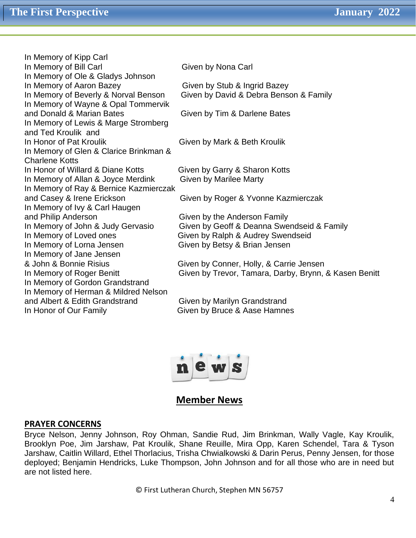In Memory of Kipp Carl In Memory of Bill Carl Given by Nona Carl In Memory of Ole & Gladys Johnson In Memory of Aaron Bazey Given by Stub & Ingrid Bazey In Memory of Beverly & Norval Benson Given by David & Debra Benson & Family In Memory of Wayne & Opal Tommervik and Donald & Marian Bates Given by Tim & Darlene Bates In Memory of Lewis & Marge Stromberg and Ted Kroulik and In Honor of Pat Kroulik Given by Mark & Beth Kroulik In Memory of Glen & Clarice Brinkman & Charlene Kotts In Honor of Willard & Diane Kotts Given by Garry & Sharon Kotts In Memory of Allan & Joyce Merdink Given by Marilee Marty In Memory of Ray & Bernice Kazmierczak and Casey & Irene Erickson Given by Roger & Yvonne Kazmierczak In Memory of Ivy & Carl Haugen and Philip Anderson **Given by the Anderson Family** In Memory of John & Judy Gervasio Given by Geoff & Deanna Swendseid & Family In Memory of Loved ones Given by Ralph & Audrey Swendseid In Memory of Lorna Jensen Given by Betsy & Brian Jensen In Memory of Jane Jensen & John & Bonnie Risius Given by Conner, Holly, & Carrie Jensen In Memory of Gordon Grandstrand In Memory of Herman & Mildred Nelson and Albert & Edith Grandstrand Given by Marilyn Grandstrand In Honor of Our Family **Example 2** Given by Bruce & Aase Hamnes

In Memory of Roger Benitt **Given by Trevor, Tamara, Darby, Brynn, & Kasen Benitt** 



#### **Member News**

#### **PRAYER CONCERNS**

Bryce Nelson, Jenny Johnson, Roy Ohman, Sandie Rud, Jim Brinkman, Wally Vagle, Kay Kroulik, Brooklyn Poe, Jim Jarshaw, Pat Kroulik, Shane Reuille, Mira Opp, Karen Schendel, Tara & Tyson Jarshaw, Caitlin Willard, Ethel Thorlacius, Trisha Chwialkowski & Darin Perus, Penny Jensen, for those deployed; Benjamin Hendricks, Luke Thompson, John Johnson and for all those who are in need but are not listed here.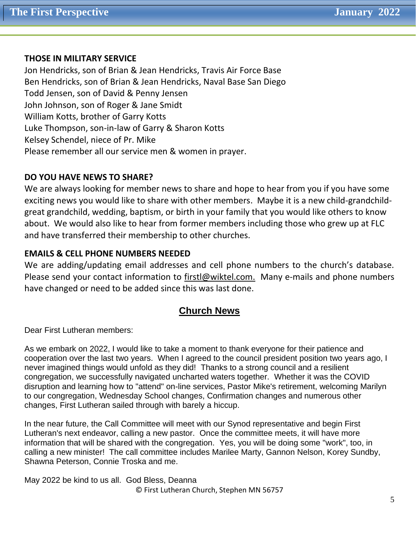#### **THOSE IN MILITARY SERVICE**

Jon Hendricks, son of Brian & Jean Hendricks, Travis Air Force Base Ben Hendricks, son of Brian & Jean Hendricks, Naval Base San Diego Todd Jensen, son of David & Penny Jensen John Johnson, son of Roger & Jane Smidt William Kotts, brother of Garry Kotts Luke Thompson, son-in-law of Garry & Sharon Kotts Kelsey Schendel, niece of Pr. Mike Please remember all our service men & women in prayer.

#### **DO YOU HAVE NEWS TO SHARE?**

We are always looking for member news to share and hope to hear from you if you have some exciting news you would like to share with other members. Maybe it is a new child-grandchildgreat grandchild, wedding, baptism, or birth in your family that you would like others to know about. We would also like to hear from former members including those who grew up at FLC and have transferred their membership to other churches.

#### **EMAILS & CELL PHONE NUMBERS NEEDED**

We are adding/updating email addresses and cell phone numbers to the church's database. Please send your contact information to [firstl@wiktel.com.](mailto:firstl@wiktel.com) Many e-mails and phone numbers have changed or need to be added since this was last done.

#### **Church News**

Dear First Lutheran members:

As we embark on 2022, I would like to take a moment to thank everyone for their patience and cooperation over the last two years. When I agreed to the council president position two years ago, I never imagined things would unfold as they did! Thanks to a strong council and a resilient congregation, we successfully navigated uncharted waters together. Whether it was the COVID disruption and learning how to "attend" on-line services, Pastor Mike's retirement, welcoming Marilyn to our congregation, Wednesday School changes, Confirmation changes and numerous other changes, First Lutheran sailed through with barely a hiccup.

In the near future, the Call Committee will meet with our Synod representative and begin First Lutheran's next endeavor, calling a new pastor. Once the committee meets, it will have more information that will be shared with the congregation. Yes, you will be doing some "work", too, in calling a new minister! The call committee includes Marilee Marty, Gannon Nelson, Korey Sundby, Shawna Peterson, Connie Troska and me.

© First Lutheran Church, Stephen MN 56757 May 2022 be kind to us all. God Bless, Deanna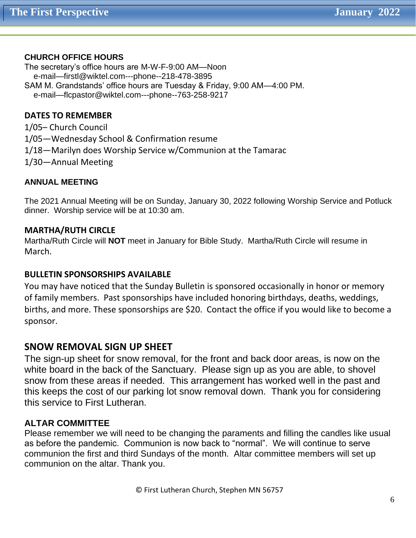#### **CHURCH OFFICE HOURS**

The secretary's office hours are M-W-F-9:00 AM—Noon e-mail—firstl@wiktel.com---phone--218-478-3895 SAM M. Grandstands' office hours are Tuesday & Friday, 9:00 AM—4:00 PM. e-mail—flcpastor@wiktel.com---phone--763-258-9217

#### **DATES TO REMEMBER**

1/05– Church Council 1/05—Wednesday School & Confirmation resume 1/18—Marilyn does Worship Service w/Communion at the Tamarac 1/30—Annual Meeting

#### **ANNUAL MEETING**

The 2021 Annual Meeting will be on Sunday, January 30, 2022 following Worship Service and Potluck dinner. Worship service will be at 10:30 am.

#### **MARTHA/RUTH CIRCLE**

Martha/Ruth Circle will **NOT** meet in January for Bible Study. Martha/Ruth Circle will resume in March.

#### **BULLETIN SPONSORSHIPS AVAILABLE**

You may have noticed that the Sunday Bulletin is sponsored occasionally in honor or memory of family members. Past sponsorships have included honoring birthdays, deaths, weddings, births, and more. These sponsorships are \$20. Contact the office if you would like to become a sponsor.

#### **SNOW REMOVAL SIGN UP SHEET**

The sign-up sheet for snow removal, for the front and back door areas, is now on the white board in the back of the Sanctuary. Please sign up as you are able, to shovel snow from these areas if needed. This arrangement has worked well in the past and this keeps the cost of our parking lot snow removal down. Thank you for considering this service to First Lutheran.

#### **ALTAR COMMITTEE**

Please remember we will need to be changing the paraments and filling the candles like usual as before the pandemic. Communion is now back to "normal". We will continue to serve communion the first and third Sundays of the month. Altar committee members will set up communion on the altar. Thank you.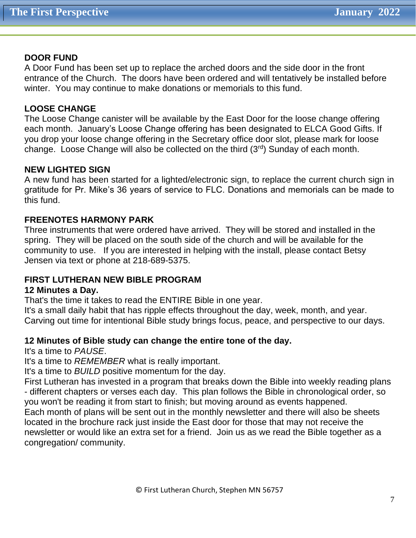#### **DOOR FUND**

A Door Fund has been set up to replace the arched doors and the side door in the front entrance of the Church. The doors have been ordered and will tentatively be installed before winter. You may continue to make donations or memorials to this fund.

#### **LOOSE CHANGE**

The Loose Change canister will be available by the East Door for the loose change offering each month. January's Loose Change offering has been designated to ELCA Good Gifts. If you drop your loose change offering in the Secretary office door slot, please mark for loose change. Loose Change will also be collected on the third (3rd) Sunday of each month.

#### **NEW LIGHTED SIGN**

A new fund has been started for a lighted/electronic sign, to replace the current church sign in gratitude for Pr. Mike's 36 years of service to FLC. Donations and memorials can be made to this fund.

#### **FREENOTES HARMONY PARK**

Three instruments that were ordered have arrived. They will be stored and installed in the spring. They will be placed on the south side of the church and will be available for the community to use. If you are interested in helping with the install, please contact Betsy Jensen via text or phone at 218-689-5375.

#### **FIRST LUTHERAN NEW BIBLE PROGRAM**

#### **12 Minutes a Day.**

That's the time it takes to read the ENTIRE Bible in one year.

It's a small daily habit that has ripple effects throughout the day, week, month, and year. Carving out time for intentional Bible study brings focus, peace, and perspective to our days.

#### **12 Minutes of Bible study can change the entire tone of the day.**

It's a time to *PAUSE*.

It's a time to *REMEMBER* what is really important.

It's a time to *BUILD* positive momentum for the day.

First Lutheran has invested in a program that breaks down the Bible into weekly reading plans - different chapters or verses each day. This plan follows the Bible in chronological order, so you won't be reading it from start to finish; but moving around as events happened. Each month of plans will be sent out in the monthly newsletter and there will also be sheets located in the brochure rack just inside the East door for those that may not receive the newsletter or would like an extra set for a friend. Join us as we read the Bible together as a congregation/ community.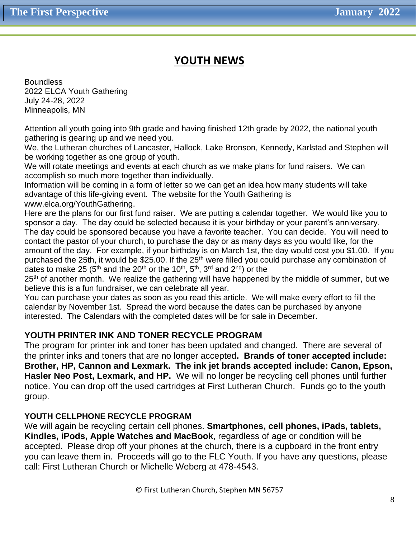#### **YOUTH NEWS**

**Boundless** 2022 ELCA Youth Gathering July 24-28, 2022 Minneapolis, MN

Attention all youth going into 9th grade and having finished 12th grade by 2022, the national youth gathering is gearing up and we need you.

We, the Lutheran churches of Lancaster, Hallock, Lake Bronson, Kennedy, Karlstad and Stephen will be working together as one group of youth.

We will rotate meetings and events at each church as we make plans for fund raisers. We can accomplish so much more together than individually.

Information will be coming in a form of letter so we can get an idea how many students will take advantage of this life-giving event. The website for the Youth Gathering is [www.elca.org/YouthGathering.](http://www.elca.org/YouthGathering)

Here are the plans for our first fund raiser. We are putting a calendar together. We would like you to sponsor a day. The day could be selected because it is your birthday or your parent's anniversary. The day could be sponsored because you have a favorite teacher. You can decide. You will need to contact the pastor of your church, to purchase the day or as many days as you would like, for the amount of the day. For example, if your birthday is on March 1st, the day would cost you \$1.00. If you purchased the 25th, it would be \$25.00. If the 25<sup>th</sup> were filled you could purchase any combination of dates to make 25 (5<sup>th</sup> and the 20<sup>th</sup> or the 10<sup>th</sup>, 5<sup>th</sup>, 3<sup>rd</sup> and 2<sup>nd</sup>) or the

25<sup>th</sup> of another month. We realize the gathering will have happened by the middle of summer, but we believe this is a fun fundraiser, we can celebrate all year.

You can purchase your dates as soon as you read this article. We will make every effort to fill the calendar by November 1st. Spread the word because the dates can be purchased by anyone interested. The Calendars with the completed dates will be for sale in December.

#### **YOUTH PRINTER INK AND TONER RECYCLE PROGRAM**

The program for printer ink and toner has been updated and changed. There are several of the printer inks and toners that are no longer accepted**. Brands of toner accepted include: Brother, HP, Cannon and Lexmark. The ink jet brands accepted include: Canon, Epson, Hasler Neo Post, Lexmark, and HP.** We will no longer be recycling cell phones until further notice. You can drop off the used cartridges at First Lutheran Church. Funds go to the youth group.

#### **YOUTH CELLPHONE RECYCLE PROGRAM**

We will again be recycling certain cell phones. **Smartphones, cell phones, iPads, tablets, Kindles, iPods, Apple Watches and MacBook**, regardless of age or condition will be accepted. Please drop off your phones at the church, there is a cupboard in the front entry you can leave them in. Proceeds will go to the FLC Youth. If you have any questions, please call: First Lutheran Church or Michelle Weberg at 478-4543.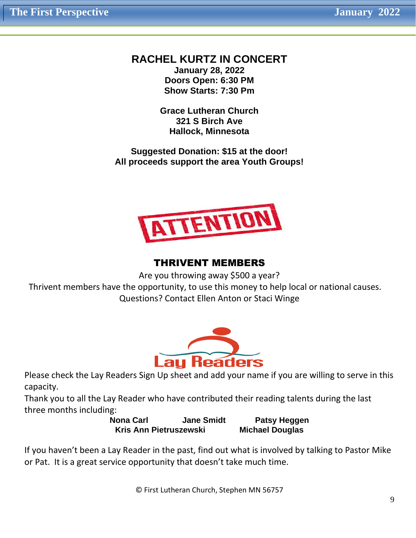#### **RACHEL KURTZ IN CONCERT January 28, 2022**

**Doors Open: 6:30 PM Show Starts: 7:30 Pm**

**Grace Lutheran Church 321 S Birch Ave Hallock, Minnesota**

**Suggested Donation: \$15 at the door! All proceeds support the area Youth Groups!**



#### THRIVENT MEMBERS

Are you throwing away \$500 a year?

 Thrivent members have the opportunity, to use this money to help local or national causes. Questions? Contact Ellen Anton or Staci Winge



Please check the Lay Readers Sign Up sheet and add your name if you are willing to serve in this capacity.

Thank you to all the Lay Reader who have contributed their reading talents during the last three months including:

**Nona Carl Gatable Jane Smidt Carl Patsy Heggen Kris Ann Pietruszewski Michael Douglas**

If you haven't been a Lay Reader in the past, find out what is involved by talking to Pastor Mike or Pat. It is a great service opportunity that doesn't take much time.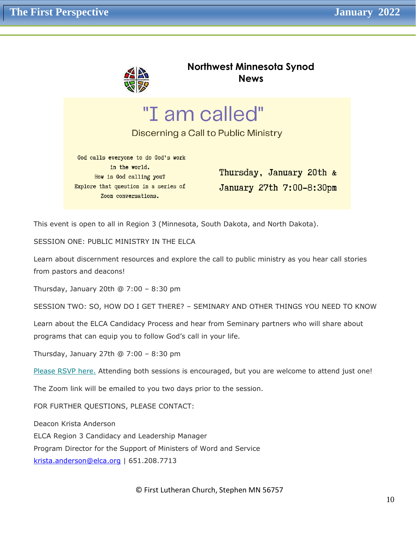

**Northwest Minnesota Synod News**

"I am called"

Discerning a Call to Public Ministry

God calls everyone to do God's work in the world. How is God calling you? Explore that question in a series of Zoom conversations.

Thursday, January 20th & January 27th 7:00-8:30pm

This event is open to all in Region 3 (Minnesota, South Dakota, and North Dakota).

SESSION ONE: PUBLIC MINISTRY IN THE ELCA

Learn about discernment resources and explore the call to public ministry as you hear call stories from pastors and deacons!

Thursday, January 20th @ 7:00 – 8:30 pm

SESSION TWO: SO, HOW DO I GET THERE? – SEMINARY AND OTHER THINGS YOU NEED TO KNOW

Learn about the ELCA Candidacy Process and hear from Seminary partners who will share about programs that can equip you to follow God's call in your life.

Thursday, January 27th @ 7:00 – 8:30 pm

[Please RSVP here.](https://nwmnsynod.us19.list-manage.com/track/click?u=f52e21d74e22a27bb1c260f9d&id=bfc54bc395&e=4e15ae44c5) Attending both sessions is encouraged, but you are welcome to attend just one!

The Zoom link will be emailed to you two days prior to the session.

FOR FURTHER QUESTIONS, PLEASE CONTACT:

Deacon Krista Anderson

ELCA Region 3 Candidacy and Leadership Manager

Program Director for the Support of Ministers of Word and Service

[krista.anderson@elca.org](mailto:krista.anderson@elca.org) | 651.208.7713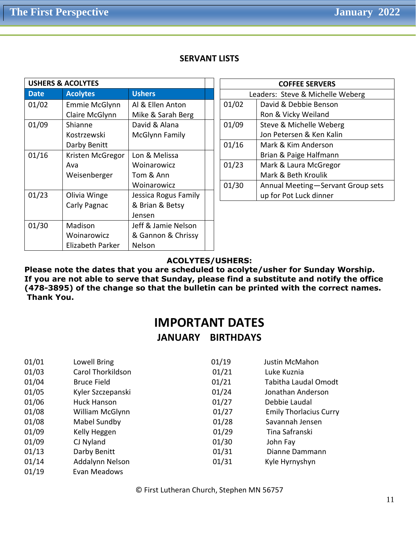|  |  | <b>SERVANT LISTS</b> |
|--|--|----------------------|
|--|--|----------------------|

| <b>USHERS &amp; ACOLYTES</b> |                  |                      |  |
|------------------------------|------------------|----------------------|--|
| <b>Date</b>                  | <b>Acolytes</b>  | <b>Ushers</b>        |  |
| 01/02                        | Emmie McGlynn    | Al & Ellen Anton     |  |
|                              | Claire McGlynn   | Mike & Sarah Berg    |  |
| 01/09                        | Shianne          | David & Alana        |  |
|                              | Kostrzewski      | McGlynn Family       |  |
|                              | Darby Benitt     |                      |  |
| 01/16                        | Kristen McGregor | Lon & Melissa        |  |
|                              | Ava              | Woinarowicz          |  |
|                              | Weisenberger     | Tom & Ann            |  |
|                              |                  | Woinarowicz          |  |
| 01/23                        | Olivia Winge     | Jessica Rogus Family |  |
|                              | Carly Pagnac     | & Brian & Betsy      |  |
|                              |                  | Jensen               |  |
| 01/30                        | Madison          | Jeff & Jamie Nelson  |  |
|                              | Woinarowicz      | & Gannon & Chrissy   |  |
|                              | Elizabeth Parker | Nelson               |  |

| <b>COFFEE SERVERS</b> |                                   |  |  |
|-----------------------|-----------------------------------|--|--|
|                       | Leaders: Steve & Michelle Weberg  |  |  |
| 01/02                 | David & Debbie Benson             |  |  |
|                       | Ron & Vicky Weiland               |  |  |
| 01/09                 | Steve & Michelle Weberg           |  |  |
|                       | Jon Petersen & Ken Kalin          |  |  |
| 01/16                 | Mark & Kim Anderson               |  |  |
|                       | Brian & Paige Halfmann            |  |  |
| 01/23                 | Mark & Laura McGregor             |  |  |
|                       | Mark & Beth Kroulik               |  |  |
| 01/30                 | Annual Meeting-Servant Group sets |  |  |
|                       | up for Pot Luck dinner            |  |  |

#### **ACOLYTES/USHERS:**

**Please note the dates that you are scheduled to acolyte/usher for Sunday Worship. If you are not able to serve that Sunday, please find a substitute and notify the office (478-3895) of the change so that the bulletin can be printed with the correct names. Thank You.**

### **IMPORTANT DATES**

#### **JANUARY BIRTHDAYS**

| 01/01 | Lowell Bring             | 01/19 | Justin McMahon                |
|-------|--------------------------|-------|-------------------------------|
| 01/03 | <b>Carol Thorkildson</b> | 01/21 | Luke Kuznia                   |
| 01/04 | <b>Bruce Field</b>       | 01/21 | Tabitha Laudal Omodt          |
| 01/05 | Kyler Szczepanski        | 01/24 | Jonathan Anderson             |
| 01/06 | <b>Huck Hanson</b>       | 01/27 | Debbie Laudal                 |
| 01/08 | William McGlynn          | 01/27 | <b>Emily Thorlacius Curry</b> |
| 01/08 | Mabel Sundby             | 01/28 | Savannah Jensen               |
| 01/09 | Kelly Heggen             | 01/29 | Tina Safranski                |
| 01/09 | CJ Nyland                | 01/30 | John Fay                      |
| 01/13 | Darby Benitt             | 01/31 | Dianne Dammann                |
| 01/14 | Addalynn Nelson          | 01/31 | Kyle Hyrnyshyn                |
| 01/19 | Evan Meadows             |       |                               |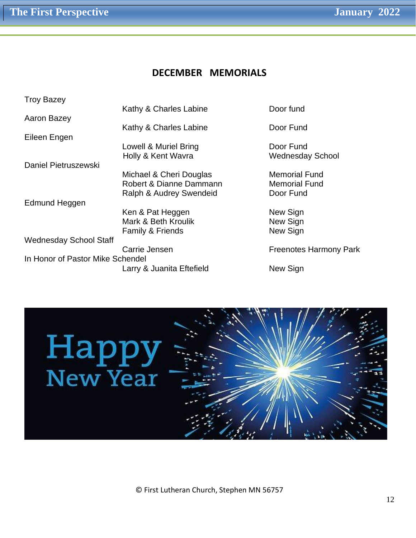#### **DECEMBER MEMORIALS**

| <b>Troy Bazey</b>                |                             |                               |
|----------------------------------|-----------------------------|-------------------------------|
|                                  | Kathy & Charles Labine      | Door fund                     |
| Aaron Bazey                      |                             |                               |
|                                  | Kathy & Charles Labine      | Door Fund                     |
| Eileen Engen                     |                             |                               |
|                                  | Lowell & Muriel Bring       | Door Fund                     |
|                                  | Holly & Kent Wavra          | <b>Wednesday School</b>       |
| Daniel Pietruszewski             |                             |                               |
|                                  | Michael & Cheri Douglas     | <b>Memorial Fund</b>          |
|                                  | Robert & Dianne Dammann     | <b>Memorial Fund</b>          |
|                                  | Ralph & Audrey Swendeid     | Door Fund                     |
| Edmund Heggen                    |                             |                               |
|                                  | Ken & Pat Heggen            | New Sign                      |
|                                  | Mark & Beth Kroulik         | New Sign                      |
|                                  | <b>Family &amp; Friends</b> | New Sign                      |
| <b>Wednesday School Staff</b>    |                             |                               |
|                                  | Carrie Jensen               | <b>Freenotes Harmony Park</b> |
| In Honor of Pastor Mike Schendel |                             |                               |
|                                  | Larry & Juanita Eftefield   | New Sign                      |
|                                  |                             |                               |

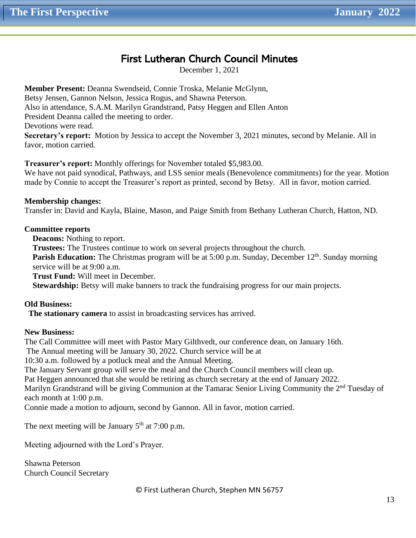#### First Lutheran Church Council Minutes

December 1, 2021

**Member Present:** Deanna Swendseid, Connie Troska, Melanie McGlynn, Betsy Jensen, Gannon Nelson, Jessica Rogus, and Shawna Peterson. Also in attendance, S.A.M. Marilyn Grandstrand, Patsy Heggen and Ellen Anton President Deanna called the meeting to order. Devotions were read. **Secretary's report:** Motion by Jessica to accept the November 3, 2021 minutes, second by Melanie. All in favor, motion carried.

**Treasurer's report:** Monthly offerings for November totaled \$5,983.00.

We have not paid synodical, Pathways, and LSS senior meals (Benevolence commitments) for the year. Motion made by Connie to accept the Treasurer's report as printed, second by Betsy. All in favor, motion carried.

**Membership changes:** Transfer in: David and Kayla, Blaine, Mason, and Paige Smith from Bethany Lutheran Church, Hatton, ND.

#### **Committee reports**

 **Deacons:** Nothing to report.

**Trustees:** The Trustees continue to work on several projects throughout the church.

**Parish Education:** The Christmas program will be at 5:00 p.m. Sunday, December 12<sup>th</sup>. Sunday morning service will be at 9:00 a.m.

**Trust Fund:** Will meet in December.

**Stewardship:** Betsy will make banners to track the fundraising progress for our main projects.

#### **Old Business:**

 **The stationary camera** to assist in broadcasting services has arrived.

#### **New Business:**

The Call Committee will meet with Pastor Mary Gilthvedt, our conference dean, on January 16th. The Annual meeting will be January 30, 2022. Church service will be at 10:30 a.m. followed by a potluck meal and the Annual Meeting.

The January Servant group will serve the meal and the Church Council members will clean up.

Pat Heggen announced that she would be retiring as church secretary at the end of January 2022.

Marilyn Grandstrand will be giving Communion at the Tamarac Senior Living Community the 2<sup>nd</sup> Tuesday of each month at 1:00 p.m.

Connie made a motion to adjourn, second by Gannon. All in favor, motion carried.

The next meeting will be January  $5<sup>th</sup>$  at 7:00 p.m.

Meeting adjourned with the Lord's Prayer.

Shawna Peterson Church Council Secretary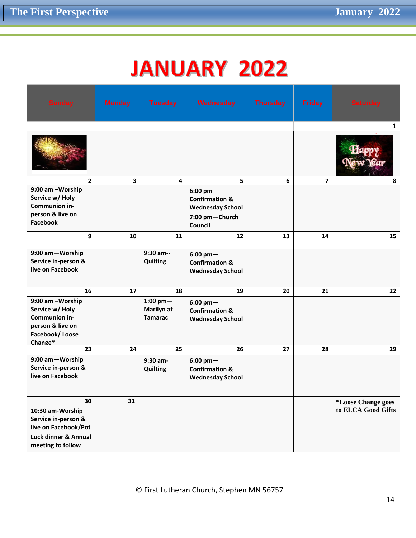## **JANUARY 2022**

| <b>Sunday</b>                                                                                                      | <b>Monday</b>           | <b>Tuesday</b>                                | Wednesday                                                                                           | <b>Thursday</b> | <b>Friday</b>           | <b>Saturday</b>                          |
|--------------------------------------------------------------------------------------------------------------------|-------------------------|-----------------------------------------------|-----------------------------------------------------------------------------------------------------|-----------------|-------------------------|------------------------------------------|
|                                                                                                                    |                         |                                               |                                                                                                     |                 |                         | $\mathbf{1}$                             |
|                                                                                                                    |                         |                                               |                                                                                                     |                 |                         |                                          |
| $\overline{2}$                                                                                                     | $\overline{\mathbf{3}}$ | $\overline{\mathbf{4}}$                       | 5                                                                                                   | 6               | $\overline{\mathbf{z}}$ | 8                                        |
| 9:00 am -Worship<br>Service w/ Holy<br>Communion in-<br>person & live on<br><b>Facebook</b>                        |                         |                                               | 6:00 pm<br><b>Confirmation &amp;</b><br><b>Wednesday School</b><br>7:00 pm-Church<br><b>Council</b> |                 |                         |                                          |
| 9                                                                                                                  | 10                      | 11                                            | 12                                                                                                  | 13              | 14                      | 15                                       |
| 9:00 am-Worship<br>Service in-person &<br>live on Facebook                                                         |                         | 9:30 am--<br><b>Quilting</b>                  | $6:00$ pm $-$<br><b>Confirmation &amp;</b><br><b>Wednesday School</b>                               |                 |                         |                                          |
| 16                                                                                                                 | 17                      | 18                                            | 19                                                                                                  | 20              | 21                      | 22                                       |
| 9:00 am -Worship<br>Service w/ Holy<br>Communion in-<br>person & live on<br>Facebook/Loose<br>Change*              |                         | $1:00$ pm $-$<br>Marilyn at<br><b>Tamarac</b> | $6:00~pm-$<br><b>Confirmation &amp;</b><br><b>Wednesday School</b>                                  |                 |                         |                                          |
| 23                                                                                                                 | 24                      | 25                                            | 26                                                                                                  | 27              | 28                      | 29                                       |
| 9:00 am-Worship<br>Service in-person &<br>live on Facebook                                                         |                         | 9:30 am-<br>Quilting                          | $6:00~pm-$<br><b>Confirmation &amp;</b><br><b>Wednesday School</b>                                  |                 |                         |                                          |
| 30<br>10:30 am-Worship<br>Service in-person &<br>live on Facebook/Pot<br>Luck dinner & Annual<br>meeting to follow | 31                      |                                               |                                                                                                     |                 |                         | *Loose Change goes<br>to ELCA Good Gifts |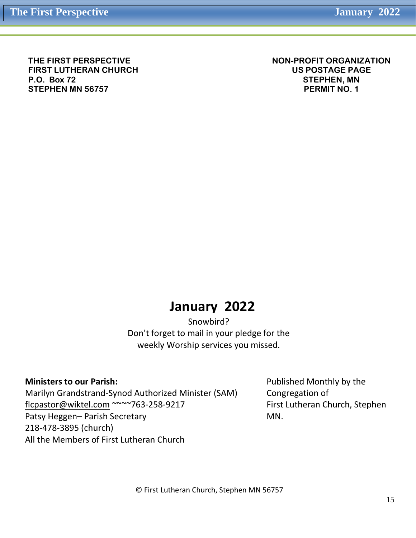**THE FIRST PERSPECTIVE FIRST LUTHERAN CHURCH P.O. Box 72 STEPHEN MN 56757**

**NON-PROFIT ORGANIZATION US POSTAGE PAGE STEPHEN, MN PERMIT NO. 1**

### **January 2022**

Snowbird? Don't forget to mail in your pledge for the weekly Worship services you missed.

#### **Ministers to our Parish:**

Marilyn Grandstrand-Synod Authorized Minister (SAM) [flcpastor@wiktel.com](mailto:flcpastor@wiktel.com) ~~~~763-258-9217 Patsy Heggen– Parish Secretary 218-478-3895 (church) All the Members of First Lutheran Church

Published Monthly by the Congregation of First Lutheran Church, Stephen MN.